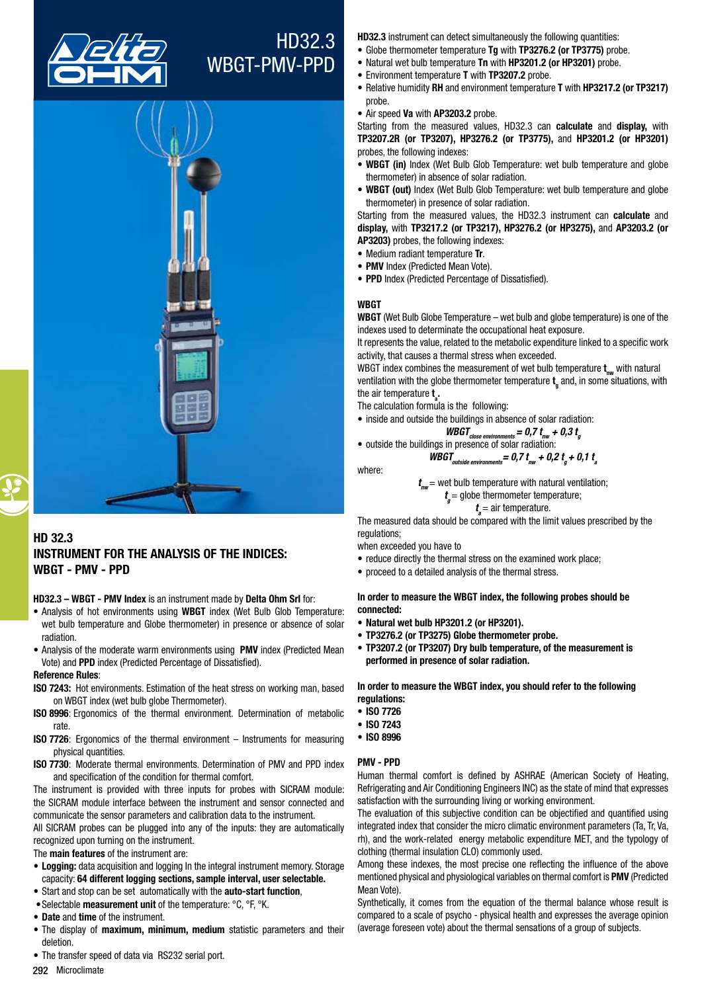

# HD32.3 WBGT-PMV-PPD



# HD 32.3 INSTRUMENT FOR THE ANALYSIS OF THE INDICES: WBGT - pmv - PPD

HD32.3 – WBGT - PMV Index is an instrument made by Delta Ohm Srl for:

- Analysis of hot environments using WBGT index (Wet Bulb Glob Temperature: wet bulb temperature and Globe thermometer) in presence or absence of solar radiation.
- Analysis of the moderate warm environments using PMV index (Predicted Mean Vote) and PPD index (Predicted Percentage of Dissatisfied).

#### Reference Rules:

- ISO 7243: Hot environments. Estimation of the heat stress on working man, based on WBGT index (wet bulb globe Thermometer).
- ISO 8996: Ergonomics of the thermal environment. Determination of metabolic rate.
- ISO 7726: Ergonomics of the thermal environment Instruments for measuring physical quantities.
- ISO 7730: Moderate thermal environments. Determination of PMV and PPD index and specification of the condition for thermal comfort.

The instrument is provided with three inputs for probes with SICRAM module: the SICRAM module interface between the instrument and sensor connected and communicate the sensor parameters and calibration data to the instrument.

All SICRAM probes can be plugged into any of the inputs: they are automatically recognized upon turning on the instrument.

The main features of the instrument are:

- Logging: data acquisition and logging In the integral instrument memory. Storage capacity: 64 different logging sections, sample interval, user selectable.
- Start and stop can be set automatically with the auto-start function,
- Selectable measurement unit of the temperature: °C, °F, °K.
- Date and time of the instrument.
- The display of maximum, minimum, medium statistic parameters and their deletion.

HD32.3 instrument can detect simultaneously the following quantities:

- Globe thermometer temperature Tq with TP3276.2 (or TP3775) probe.
- Natural wet bulb temperature Tn with HP3201.2 (or HP3201) probe.
- Environment temperature T with TP3207.2 probe.
- Relative humidity RH and environment temperature T with HP3217.2 (or TP3217) probe.
- Air speed Va with AP3203.2 probe.

Starting from the measured values, HD32.3 can calculate and display, with TP3207.2R (or TP3207), HP3276.2 (or TP3775), and HP3201.2 (or HP3201) probes, the following indexes:

- WBGT (in) Index (Wet Bulb Glob Temperature: wet bulb temperature and globe thermometer) in absence of solar radiation.
- WBGT (out) Index (Wet Bulb Glob Temperature: wet bulb temperature and globe thermometer) in presence of solar radiation.

Starting from the measured values, the HD32.3 instrument can calculate and display, with TP3217.2 (or TP3217), HP3276.2 (or HP3275), and AP3203.2 (or AP3203) probes, the following indexes:

- Medium radiant temperature Tr.
- PMV Index (Predicted Mean Vote).
- PPD Index (Predicted Percentage of Dissatisfied).

## **WBGT**

WBGT (Wet Bulb Globe Temperature – wet bulb and globe temperature) is one of the indexes used to determinate the occupational heat exposure.

It represents the value, related to the metabolic expenditure linked to a specific work activity, that causes a thermal stress when exceeded.

WBGT index combines the measurement of wet bulb temperature  $\bm{{\mathsf{t}}}_{\mathsf{nw}}$  with natural ventilation with the globe thermometer temperature  $\mathbf{t}_{_\mathrm{g}}$  and, in some situations, with the air temperature **t**<sub>a</sub>.

The calculation formula is the following:

- inside and outside the buildings in absence of solar radiation:
	- *WBGT*<sub>close environments = 0,7  $t_{nw}$  + 0,3  $t_{g}$ <br>in presence of solar radiation:</sub>

• outside the buildings in presence of solar radiation:

$$
WBGT_{outside\ environments} = 0.7 t_{\text{nw}} + 0.2 t_{\text{g}} + 0.1 t_{\text{a}}
$$

where:

*t nw* = wet bulb temperature with natural ventilation; *t <sup>g</sup>*= globe thermometer temperature;

$$
t_a
$$
 = air temperature.

The measured data should be compared with the limit values prescribed by the regulations;

when exceeded you have to

- reduce directly the thermal stress on the examined work place;
- proceed to a detailed analysis of the thermal stress.

## In order to measure the WBGT index, the following probes should be connected:

- • Natural wet bulb HP3201.2 (or HP3201).
- TP3276.2 (or TP3275) Globe thermometer probe.
- TP3207.2 (or TP3207) Dry bulb temperature, of the measurement is performed in presence of solar radiation.

In order to measure the WBGT index, you should refer to the following regulations:

- • ISO 7726
- • ISO 7243
- • ISO 8996

## PMV - PPD

Human thermal comfort is defined by ASHRAE (American Society of Heating, Refrigerating and Air Conditioning Engineers INC) as the state of mind that expresses satisfaction with the surrounding living or working environment.

The evaluation of this subjective condition can be objectified and quantified using integrated index that consider the micro climatic environment parameters (Ta, Tr, Va, rh), and the work-related energy metabolic expenditure MET, and the typology of clothing (thermal insulation CLO) commonly used.

Among these indexes, the most precise one reflecting the influence of the above mentioned physical and physiological variables on thermal comfort is PMV (Predicted Mean Vote).

Synthetically, it comes from the equation of the thermal balance whose result is compared to a scale of psycho - physical health and expresses the average opinion (average foreseen vote) about the thermal sensations of a group of subjects.

• The transfer speed of data via RS232 serial port.

292 Microclimate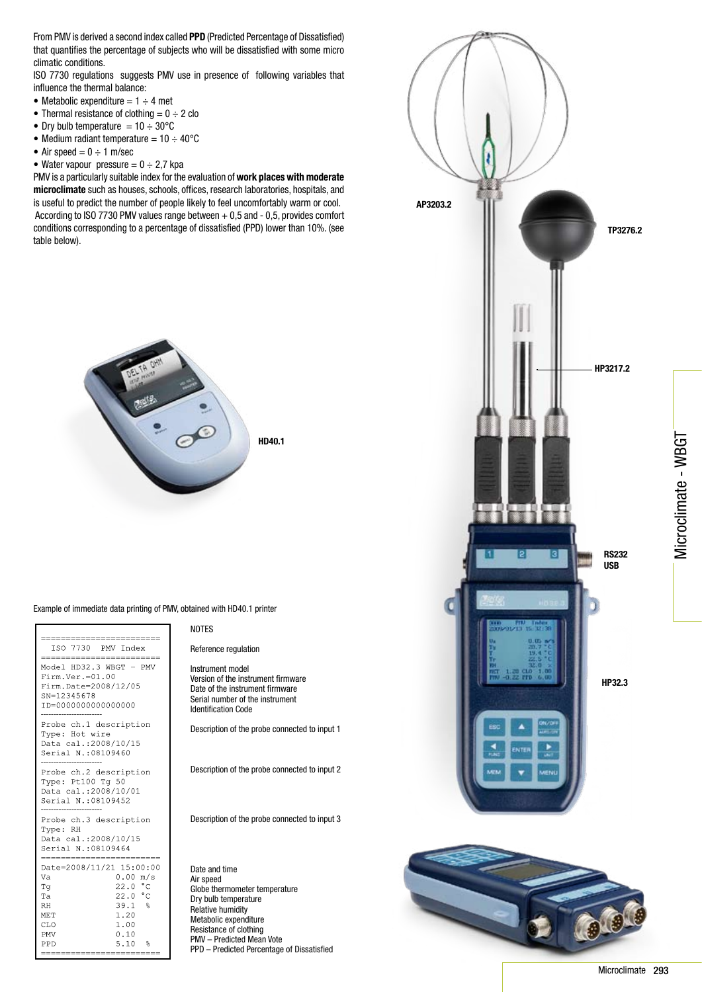From PMV is derived a second index called PPD (Predicted Percentage of Dissatisfied) that quantifies the percentage of subjects who will be dissatisfied with some micro climatic conditions.

ISO 7730 regulations suggests PMV use in presence of following variables that influence the thermal balance:

- Metabolic expenditure  $= 1 \div 4$  met
- Thermal resistance of clothing  $= 0 \div 2$  clo
- Dry bulb temperature =  $10 \div 30^{\circ}$ C
- Medium radiant temperature =  $10 \div 40^{\circ}$ C
- Air speed  $= 0 \div 1$  m/sec
- Water vapour pressure  $= 0 \div 2.7$  kpa

PMV is a particularly suitable index for the evaluation of work places with moderate microclimate such as houses, schools, offices, research laboratories, hospitals, and is useful to predict the number of people likely to feel uncomfortably warm or cool. According to ISO 7730 PMV values range between + 0,5 and - 0,5, provides comfort conditions corresponding to a percentage of dissatisfied (PPD) lower than 10%. (see table below).



Example of immediate data printing of PMV, obtained with HD40.1 printer

| ==================                                                                                             |                                                                                          |
|----------------------------------------------------------------------------------------------------------------|------------------------------------------------------------------------------------------|
| ISO 7730 PMV Index<br>--------------------------                                                               |                                                                                          |
| Model HD32.3 WBGT - PMV<br>$Firm.Ver.=01.00$<br>Firm.Date=2008/12/05<br>SN=12345678<br>ID=000000000000000      |                                                                                          |
| Probe ch.1 description<br>Type: Hot wire<br>Data cal.: 2008/10/15<br>Serial N.:08109460                        |                                                                                          |
| Probe ch.2 description<br>Type: Pt100 Tq 50<br>Data cal.: 2008/10/01<br>Serial N.: 08109452                    |                                                                                          |
| Probe ch.3 description<br>Type: RH<br>Data cal.:2008/10/15<br>Serial N.: 08109464<br>========================= |                                                                                          |
| Date=2008/11/21 15:00:00<br>Va<br>Τq<br>Ta<br><b>RH</b><br>MET<br>CLO<br><b>PMV</b><br>PPD                     | 0.00 m/s<br>22.0 °C<br>22.0 °C<br>39.1%<br>1.20<br>1.00<br>0.10<br>5.10<br>$\frac{9}{5}$ |

#### NOTES

Reference regulation

Instrument model Version of the instrument firmware Date of the instrument firmware Serial number of the instrument Identification Code

Description of the probe connected to input 1

Description of the probe connected to input 2

Description of the probe connected to input 3

Date and time Air speed Globe thermometer temperature Dry bulb temperature Relative humidity Metabolic expenditure Resistance of clothing PMV – Predicted Mean Vote PPD – Predicted Percentage of Dissatisfied



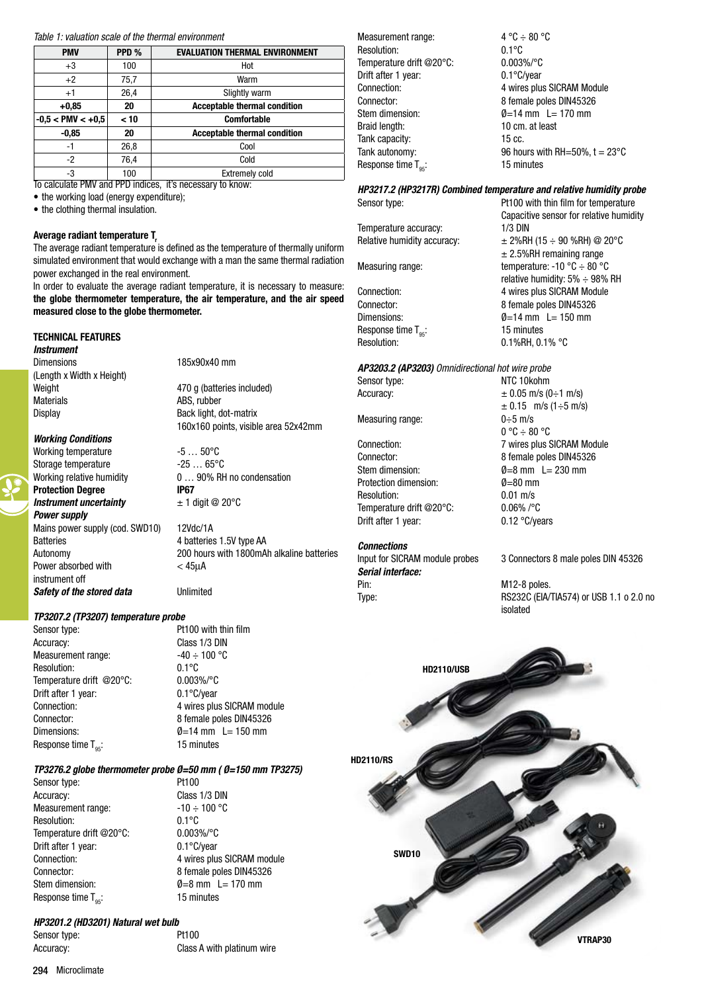#### *Table 1: valuation scale of the thermal environment*

| <b>PMV</b>          | PPD % | <b>EVALUATION THERMAL ENVIRONMENT</b>             |
|---------------------|-------|---------------------------------------------------|
| $+3$                | 100   | Hot                                               |
| $+2$                | 75,7  | Warm                                              |
| $+1$                | 26,4  | Slightly warm                                     |
| $+0,85$             | 20    | <b>Acceptable thermal condition</b>               |
| $-0.5 < PMV < +0.5$ | < 10  | <b>Comfortable</b>                                |
| $-0,85$             | 20    | <b>Acceptable thermal condition</b>               |
| $-1$                | 26,8  | Cool                                              |
| $-2$                | 76,4  | Cold                                              |
| -3                  | 100   | <b>Extremely cold</b><br>$\overline{\phantom{a}}$ |

To calculate PMV and PPD indices, it's necessary to know:

• the working load (energy expenditure);

• the clothing thermal insulation.

## Average radiant temperature T

The average radiant temperature is defined as the temperature of thermally uniform simulated environment that would exchange with a man the same thermal radiation power exchanged in the real environment.

In order to evaluate the average radiant temperature, it is necessary to measure: the globe thermometer temperature, the air temperature, and the air speed measured close to the globe thermometer.

## TECHNICAL FEATURES

*Instrument* Dimensions 185x90x40 mm (Length x Width x Height) Materials **ABS**, rubber

*Working Conditions*

instrument off

Working temperature  $-5...50^{\circ}$ C<br>Storage temperature  $-25...65^{\circ}$ C Storage temperature Protection Degree **IP67** *Instrument uncertainty*  $\pm 1$  digit @ 20°C *Power supply* Mains power supply (cod. SWD10) 12Vdc/1A Batteries **4 batteries 1.5V** type AA

Weight Weight **AXADO** g (batteries included) Display **Back light, dot-matrix** 160x160 points, visible area 52x42mm

Working relative humidity  $0... 90%$  RH no condensation

Autonomy 200 hours with 1800mAh alkaline batteries Power absorbed with < 45µA

# *TP3207.2 (TP3207) temperature probe*

**Safety of the stored data** Unlimited

Sensor type: Pt100 with thin film Accuracy: Class 1/3 DIN Measurement range:  $-40 \div 100$  °C Resolution: 0.1°C Temperature drift @20°C: 0.003%/°C Drift after 1 year: 0.1°C/year Response time  $T_{0s}$ : 15 minutes

Connection: 4 wires plus SICRAM module Connector: 8 female poles DIN45326 Dimensions:  $\varnothing$  = 14 mm  $I = 150$  mm

## *TP3276.2 globe thermometer probe Ø=50 mm ( Ø=150 mm TP3275)*

Sensor type: Pt100<br>
Accuracy: Class Measurement range:<br>
Resolution:  $0.1^{\circ}C$ <br>
Resolution:  $0.1^{\circ}C$ Resolution: Temperature drift @20°C: 0.003%/°C Drift after 1 year: 0.1°C/year Stem dimension:  $\emptyset = 8 \text{ mm}$  L = 170 mm Response time  $T_{.95}$ : 15 minutes

Class 1/3 DIN Connection: 4 wires plus SICRAM module Connector: 8 female poles DIN45326

## *HP3201.2 (HD3201) Natural wet bulb*

Sensor type: Pt100

Accuracy: Class A with platinum wire

Measurement range:  $4 °C \div 80 °C$ Resolution: 0.1°C Temperature drift @20°C: 0.003%/°C Drift after 1 year: 0.1°C/year Connection:<br>
Connector:<br>
Connector:<br>  $\overline{R}$  a female poles DIN45326 8 female poles DIN45326 Stem dimension:  $\emptyset = 14$  mm  $L = 170$  mm Braid length: 10 cm. at least Tank capacity: 15 cc. Tank autonomy:  $96$  hours with RH=50%,  $t = 23^{\circ}$ C Response time  $T_{est}$ : 15 minutes

#### *HP3217.2 (HP3217R) Combined temperature and relative humidity probe* Sensor type: **Pt100** with thin film for temperature

Temperature accuracy: 1/3 DIN Relative humidity accuracy:  $\pm 2\%RH$  (15  $\div$  90 %RH) @ 20°C

Measuring range: temperature: -10 °C  $\div$  80 °C

Connection: 4 wires plus SICRAM Module Connector: 8 female poles DIN45326 Dimensions:  $\emptyset = 14$  mm  $L = 150$  mm Response time  $T_{95}$ : 15 minutes<br>Resolution: 0.1%RH, 0.1%

## *AP3203.2 (AP3203) Omnidirectional hot wire probe*

Measuring range:  $0 \div 5$  m/s

Connector: 8 female poles DIN45326 Stem dimension:  $\emptyset = 8$  mm  $L = 230$  mm Protection dimension:  $\mathcal{O}=80$  mm Resolution: 0.01 m/s<br>Temperature drift @20°C: 0.06%/°C Temperature drift @20°C: Drift after 1 year: 0.12 °C/years

## *Connections*

*Serial interface:* Pin: M12-8 poles.

Sensor type: NTC 10kohm Accuracy:  $\pm 0.05$  m/s (0 $\div$ 1 m/s)  $\pm$  0.15 m/s (1 $\div$ 5 m/s)  $0^\circ \text{C} \div 80^\circ \text{C}$ Connection: 7 wires plus SICRAM Module

Capacitive sensor for relative humidity

 $± 2.5%$ RH remaining range

0.1%RH, 0.1% °C

relative humidity:  $5\% \div 98\%$  RH

Input for SICRAM module probes 3 Connectors 8 male poles DIN 45326

Type: RS232C (EIA/TIA574) or USB 1.1 o 2.0 no isolated